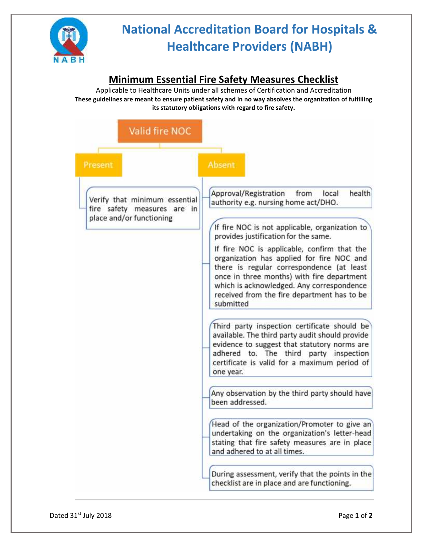

# **National Accreditation Board for Hospitals & Healthcare Providers (NABH)**

### **Minimum Essential Fire Safety Measures Checklist**

Applicable to Healthcare Units under all schemes of Certification and Accreditation **These guidelines are meant to ensure patient safety and in no way absolves the organization of fulfilling its statutory obligations with regard to fire safety.**